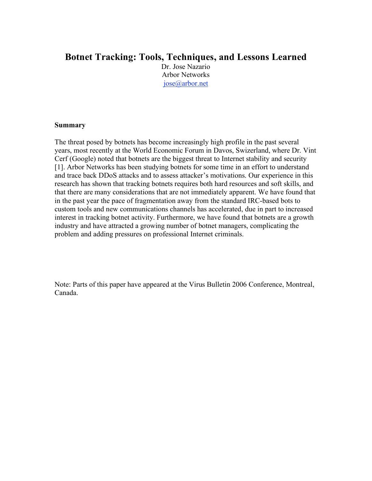#### **Botnet Tracking: Tools, Techniques, and Lessons Learned**

Dr. Jose Nazario Arbor Networks jose@arbor.net

#### **Summary**

The threat posed by botnets has become increasingly high profile in the past several years, most recently at the World Economic Forum in Davos, Swizerland, where Dr. Vint Cerf (Google) noted that botnets are the biggest threat to Internet stability and security [1]. Arbor Networks has been studying botnets for some time in an effort to understand and trace back DDoS attacks and to assess attacker's motivations. Our experience in this research has shown that tracking botnets requires both hard resources and soft skills, and that there are many considerations that are not immediately apparent. We have found that in the past year the pace of fragmentation away from the standard IRC-based bots to custom tools and new communications channels has accelerated, due in part to increased interest in tracking botnet activity. Furthermore, we have found that botnets are a growth industry and have attracted a growing number of botnet managers, complicating the problem and adding pressures on professional Internet criminals.

Note: Parts of this paper have appeared at the Virus Bulletin 2006 Conference, Montreal, Canada.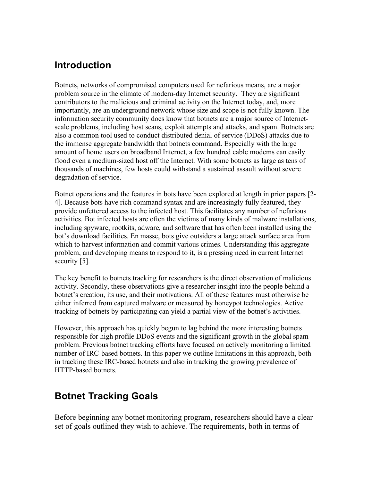### **Introduction**

Botnets, networks of compromised computers used for nefarious means, are a major problem source in the climate of modern-day Internet security. They are significant contributors to the malicious and criminal activity on the Internet today, and, more importantly, are an underground network whose size and scope is not fully known. The information security community does know that botnets are a major source of Internetscale problems, including host scans, exploit attempts and attacks, and spam. Botnets are also a common tool used to conduct distributed denial of service (DDoS) attacks due to the immense aggregate bandwidth that botnets command. Especially with the large amount of home users on broadband Internet, a few hundred cable modems can easily flood even a medium-sized host off the Internet. With some botnets as large as tens of thousands of machines, few hosts could withstand a sustained assault without severe degradation of service.

Botnet operations and the features in bots have been explored at length in prior papers [2- 4]. Because bots have rich command syntax and are increasingly fully featured, they provide unfettered access to the infected host. This facilitates any number of nefarious activities. Bot infected hosts are often the victims of many kinds of malware installations, including spyware, rootkits, adware, and software that has often been installed using the bot's download facilities. En masse, bots give outsiders a large attack surface area from which to harvest information and commit various crimes. Understanding this aggregate problem, and developing means to respond to it, is a pressing need in current Internet security [5].

The key benefit to botnets tracking for researchers is the direct observation of malicious activity. Secondly, these observations give a researcher insight into the people behind a botnet's creation, its use, and their motivations. All of these features must otherwise be either inferred from captured malware or measured by honeypot technologies. Active tracking of botnets by participating can yield a partial view of the botnet's activities.

However, this approach has quickly begun to lag behind the more interesting botnets responsible for high profile DDoS events and the significant growth in the global spam problem. Previous botnet tracking efforts have focused on actively monitoring a limited number of IRC-based botnets. In this paper we outline limitations in this approach, both in tracking these IRC-based botnets and also in tracking the growing prevalence of HTTP-based botnets.

### **Botnet Tracking Goals**

Before beginning any botnet monitoring program, researchers should have a clear set of goals outlined they wish to achieve. The requirements, both in terms of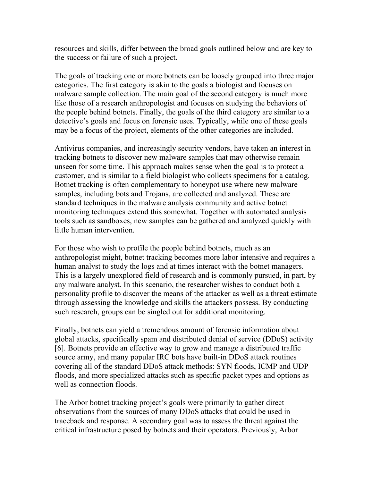resources and skills, differ between the broad goals outlined below and are key to the success or failure of such a project.

The goals of tracking one or more botnets can be loosely grouped into three major categories. The first category is akin to the goals a biologist and focuses on malware sample collection. The main goal of the second category is much more like those of a research anthropologist and focuses on studying the behaviors of the people behind botnets. Finally, the goals of the third category are similar to a detective's goals and focus on forensic uses. Typically, while one of these goals may be a focus of the project, elements of the other categories are included.

Antivirus companies, and increasingly security vendors, have taken an interest in tracking botnets to discover new malware samples that may otherwise remain unseen for some time. This approach makes sense when the goal is to protect a customer, and is similar to a field biologist who collects specimens for a catalog. Botnet tracking is often complementary to honeypot use where new malware samples, including bots and Trojans, are collected and analyzed. These are standard techniques in the malware analysis community and active botnet monitoring techniques extend this somewhat. Together with automated analysis tools such as sandboxes, new samples can be gathered and analyzed quickly with little human intervention.

For those who wish to profile the people behind botnets, much as an anthropologist might, botnet tracking becomes more labor intensive and requires a human analyst to study the logs and at times interact with the botnet managers. This is a largely unexplored field of research and is commonly pursued, in part, by any malware analyst. In this scenario, the researcher wishes to conduct both a personality profile to discover the means of the attacker as well as a threat estimate through assessing the knowledge and skills the attackers possess. By conducting such research, groups can be singled out for additional monitoring.

Finally, botnets can yield a tremendous amount of forensic information about global attacks, specifically spam and distributed denial of service (DDoS) activity [6]. Botnets provide an effective way to grow and manage a distributed traffic source army, and many popular IRC bots have built-in DDoS attack routines covering all of the standard DDoS attack methods: SYN floods, ICMP and UDP floods, and more specialized attacks such as specific packet types and options as well as connection floods.

The Arbor botnet tracking project's goals were primarily to gather direct observations from the sources of many DDoS attacks that could be used in traceback and response. A secondary goal was to assess the threat against the critical infrastructure posed by botnets and their operators. Previously, Arbor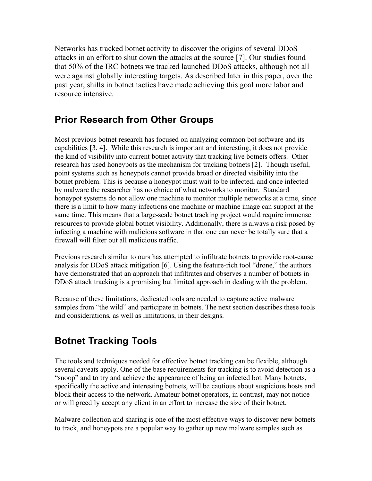Networks has tracked botnet activity to discover the origins of several DDoS attacks in an effort to shut down the attacks at the source [7]. Our studies found that 50% of the IRC botnets we tracked launched DDoS attacks, although not all were against globally interesting targets. As described later in this paper, over the past year, shifts in botnet tactics have made achieving this goal more labor and resource intensive.

# **Prior Research from Other Groups**

Most previous botnet research has focused on analyzing common bot software and its capabilities [3, 4]. While this research is important and interesting, it does not provide the kind of visibility into current botnet activity that tracking live botnets offers. Other research has used honeypots as the mechanism for tracking botnets [2]. Though useful, point systems such as honeypots cannot provide broad or directed visibility into the botnet problem. This is because a honeypot must wait to be infected, and once infected by malware the researcher has no choice of what networks to monitor. Standard honeypot systems do not allow one machine to monitor multiple networks at a time, since there is a limit to how many infections one machine or machine image can support at the same time. This means that a large-scale botnet tracking project would require immense resources to provide global botnet visibility. Additionally, there is always a risk posed by infecting a machine with malicious software in that one can never be totally sure that a firewall will filter out all malicious traffic.

Previous research similar to ours has attempted to infiltrate botnets to provide root-cause analysis for DDoS attack mitigation [6]. Using the feature-rich tool "drone," the authors have demonstrated that an approach that infiltrates and observes a number of botnets in DDoS attack tracking is a promising but limited approach in dealing with the problem.

Because of these limitations, dedicated tools are needed to capture active malware samples from "the wild" and participate in botnets. The next section describes these tools and considerations, as well as limitations, in their designs.

# **Botnet Tracking Tools**

The tools and techniques needed for effective botnet tracking can be flexible, although several caveats apply. One of the base requirements for tracking is to avoid detection as a "snoop" and to try and achieve the appearance of being an infected bot. Many botnets, specifically the active and interesting botnets, will be cautious about suspicious hosts and block their access to the network. Amateur botnet operators, in contrast, may not notice or will greedily accept any client in an effort to increase the size of their botnet.

Malware collection and sharing is one of the most effective ways to discover new botnets to track, and honeypots are a popular way to gather up new malware samples such as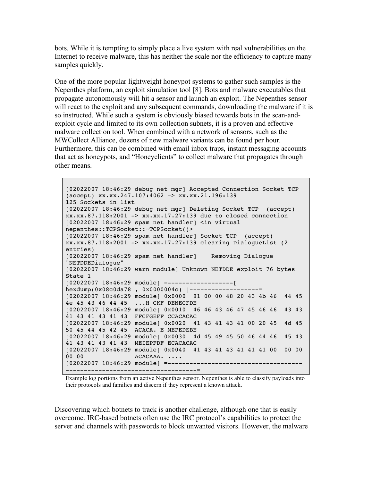bots. While it is tempting to simply place a live system with real vulnerabilities on the Internet to receive malware, this has neither the scale nor the efficiency to capture many samples quickly.

One of the more popular lightweight honeypot systems to gather such samples is the Nepenthes platform, an exploit simulation tool [8]. Bots and malware executables that propagate autonomously will hit a sensor and launch an exploit. The Nepenthes sensor will react to the exploit and any subsequent commands, downloading the malware if it is so instructed. While such a system is obviously biased towards bots in the scan-andexploit cycle and limited to its own collection subnets, it is a proven and effective malware collection tool. When combined with a network of sensors, such as the MWCollect Alliance, dozens of new malware variants can be found per hour. Furthermore, this can be combined with email inbox traps, instant messaging accounts that act as honeypots, and "Honeyclients" to collect malware that propagates through other means.

[02022007 18:46:29 debug net mgr] Accepted Connection Socket TCP (accept) xx.xx.247.107:4062 -> xx.xx.21.196:139 125 Sockets in list [02022007 18:46:29 debug net mgr] Deleting Socket TCP (accept) xx.xx.87.118:2001 -> xx.xx.17.27:139 due to closed connection [02022007 18:46:29 spam net handler] <in virtual nepenthes::TCPSocket::~TCPSocket()> [02022007 18:46:29 spam net handler] Socket TCP (accept) xx.xx.87.118:2001 -> xx.xx.17.27:139 clearing DialogueList (2 entries) [02022007 18:46:29 spam net handler] Removing Dialogue "NETDDEDialogue" [02022007 18:46:29 warn module] Unknown NETDDE exploit 76 bytes State 1 [02022007 18:46:29 module] =------------------[ hexdump(0x08c0da78 , 0x0000004c) ]-------------------= [02022007 18:46:29 module] 0x0000 81 00 00 48 20 43 4b 46 44 45 4e 45 43 46 44 45 ...H CKF DENECFDE [02022007 18:46:29 module] 0x0010 46 46 43 46 47 45 46 46 43 43 41 43 41 43 41 43 FFCFGEFF CCACACAC [02022007 18:46:29 module] 0x0020 41 43 41 43 41 00 20 45 4d 45 50 45 44 45 42 45 ACACA. E MEPEDEBE [02022007 18:46:29 module] 0x0030 4d 45 49 45 50 46 44 46 45 43 41 43 41 43 41 43 MEIEPFDF ECACACAC [02022007 18:46:29 module] 0x0040 41 43 41 43 41 41 41 00 00 00 ACACAAA. .... [02022007 18:46:29 module] =------------------------------------- ------------------------------------=

Example log portions from an active Nepenthes sensor. Nepenthes is able to classify payloads into their protocols and families and discern if they represent a known attack.

Discovering which botnets to track is another challenge, although one that is easily overcome. IRC-based botnets often use the IRC protocol's capabilities to protect the server and channels with passwords to block unwanted visitors. However, the malware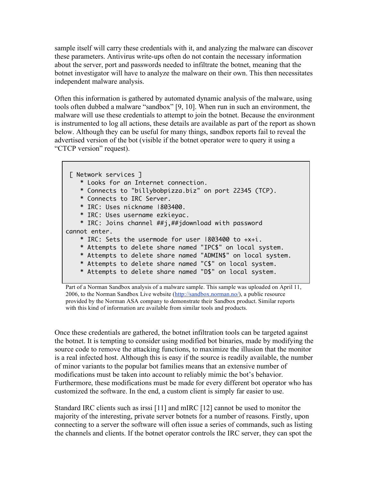sample itself will carry these credentials with it, and analyzing the malware can discover these parameters. Antivirus write-ups often do not contain the necessary information about the server, port and passwords needed to infiltrate the botnet, meaning that the botnet investigator will have to analyze the malware on their own. This then necessitates independent malware analysis.

Often this information is gathered by automated dynamic analysis of the malware, using tools often dubbed a malware "sandbox" [9, 10]. When run in such an environment, the malware will use these credentials to attempt to join the botnet. Because the environment is instrumented to log all actions, these details are available as part of the report as shown below. Although they can be useful for many things, sandbox reports fail to reveal the advertised version of the bot (visible if the botnet operator were to query it using a "CTCP version" request).

```
[ Network services ]
    * Looks for an Internet connection.
    * Connects to "billybobpizza.biz" on port 22345 (TCP).
   * Connects to IRC Server.
    * IRC: Uses nickname |803400.
    * IRC: Uses username ezkieyac.
    * IRC: Joins channel ##j,##jdownload with password
cannot enter.
    * IRC: Sets the usermode for user |803400 to +x+i.
    * Attempts to delete share named "IPC$" on local system.
    * Attempts to delete share named "ADMIN$" on local system.
    * Attempts to delete share named "C$" on local system.
    * Attempts to delete share named "D$" on local system.
```
Part of a Norman Sandbox analysis of a malware sample. This sample was uploaded on April 11, 2006, to the Norman Sandbox Live website (http://sandbox.norman.no/), a public resource provided by the Norman ASA company to demonstrate their Sandbox product. Similar reports with this kind of information are available from similar tools and products.

Once these credentials are gathered, the botnet infiltration tools can be targeted against the botnet. It is tempting to consider using modified bot binaries, made by modifying the source code to remove the attacking functions, to maximize the illusion that the monitor is a real infected host. Although this is easy if the source is readily available, the number of minor variants to the popular bot families means that an extensive number of modifications must be taken into account to reliably mimic the bot's behavior. Furthermore, these modifications must be made for every different bot operator who has customized the software. In the end, a custom client is simply far easier to use.

Standard IRC clients such as irssi [11] and mIRC [12] cannot be used to monitor the majority of the interesting, private server botnets for a number of reasons. Firstly, upon connecting to a server the software will often issue a series of commands, such as listing the channels and clients. If the botnet operator controls the IRC server, they can spot the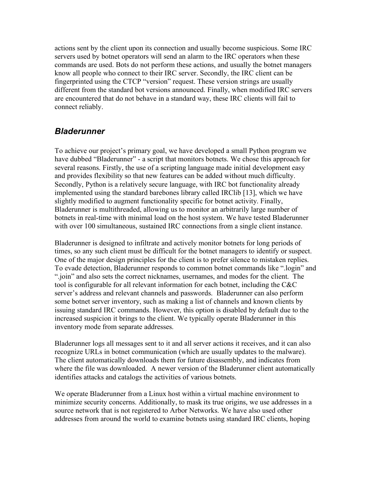actions sent by the client upon its connection and usually become suspicious. Some IRC servers used by botnet operators will send an alarm to the IRC operators when these commands are used. Bots do not perform these actions, and usually the botnet managers know all people who connect to their IRC server. Secondly, the IRC client can be fingerprinted using the CTCP "version" request. These version strings are usually different from the standard bot versions announced. Finally, when modified IRC servers are encountered that do not behave in a standard way, these IRC clients will fail to connect reliably.

#### *Bladerunner*

To achieve our project's primary goal, we have developed a small Python program we have dubbed "Bladerunner" - a script that monitors botnets. We chose this approach for several reasons. Firstly, the use of a scripting language made initial development easy and provides flexibility so that new features can be added without much difficulty. Secondly, Python is a relatively secure language, with IRC bot functionality already implemented using the standard barebones library called IRClib [13], which we have slightly modified to augment functionality specific for botnet activity. Finally, Bladerunner is multithreaded, allowing us to monitor an arbitrarily large number of botnets in real-time with minimal load on the host system. We have tested Bladerunner with over 100 simultaneous, sustained IRC connections from a single client instance.

Bladerunner is designed to infiltrate and actively monitor botnets for long periods of times, so any such client must be difficult for the botnet managers to identify or suspect. One of the major design principles for the client is to prefer silence to mistaken replies. To evade detection, Bladerunner responds to common botnet commands like ".login" and ".join" and also sets the correct nicknames, usernames, and modes for the client. The tool is configurable for all relevant information for each botnet, including the C&C server's address and relevant channels and passwords. Bladerunner can also perform some botnet server inventory, such as making a list of channels and known clients by issuing standard IRC commands. However, this option is disabled by default due to the increased suspicion it brings to the client. We typically operate Bladerunner in this inventory mode from separate addresses.

Bladerunner logs all messages sent to it and all server actions it receives, and it can also recognize URLs in botnet communication (which are usually updates to the malware). The client automatically downloads them for future disassembly, and indicates from where the file was downloaded. A newer version of the Bladerunner client automatically identifies attacks and catalogs the activities of various botnets.

We operate Bladerunner from a Linux host within a virtual machine environment to minimize security concerns. Additionally, to mask its true origins, we use addresses in a source network that is not registered to Arbor Networks. We have also used other addresses from around the world to examine botnets using standard IRC clients, hoping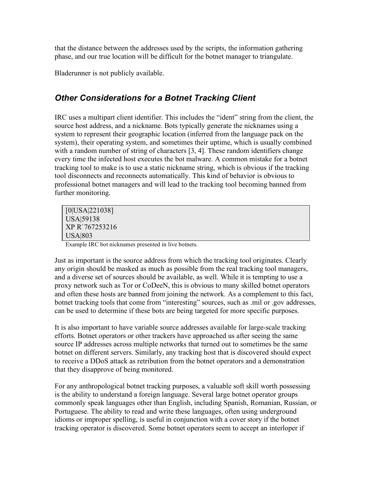that the distance between the addresses used by the scripts, the information gathering phase, and our true location will be difficult for the botnet manager to triangulate.

Bladerunner is not publicly available.

### *Other Considerations for a Botnet Tracking Client*

IRC uses a multipart client identifier. This includes the "ident" string from the client, the source host address, and a nickname. Bots typically generate the nicknames using a system to represent their geographic location (inferred from the language pack on the system), their operating system, and sometimes their uptime, which is usually combined with a random number of string of characters [3, 4]. These random identifiers change every time the infected host executes the bot malware. A common mistake for a botnet tracking tool to make is to use a static nickname string, which is obvious if the tracking tool disconnects and reconnects automatically. This kind of behavior is obvious to professional botnet managers and will lead to the tracking tool becoming banned from further monitoring.

[0|USA|221038] USA|59138 XP R`767253216 USA|803

Example IRC bot nicknames presented in live botnets.

Just as important is the source address from which the tracking tool originates. Clearly any origin should be masked as much as possible from the real tracking tool managers, and a diverse set of sources should be available, as well. While it is tempting to use a proxy network such as Tor or CoDeeN, this is obvious to many skilled botnet operators and often these hosts are banned from joining the network. As a complement to this fact, botnet tracking tools that come from "interesting" sources, such as .mil or .gov addresses, can be used to determine if these bots are being targeted for more specific purposes.

It is also important to have variable source addresses available for large-scale tracking efforts. Botnet operators or other trackers have approached us after seeing the same source IP addresses across multiple networks that turned out to sometimes be the same botnet on different servers. Similarly, any tracking host that is discovered should expect to receive a DDoS attack as retribution from the botnet operators and a demonstration that they disapprove of being monitored.

For any anthropological botnet tracking purposes, a valuable soft skill worth possessing is the ability to understand a foreign language. Several large botnet operator groups commonly speak languages other than English, including Spanish, Romanian, Russian, or Portuguese. The ability to read and write these languages, often using underground idioms or improper spelling, is useful in conjunction with a cover story if the botnet tracking operator is discovered. Some botnet operators seem to accept an interloper if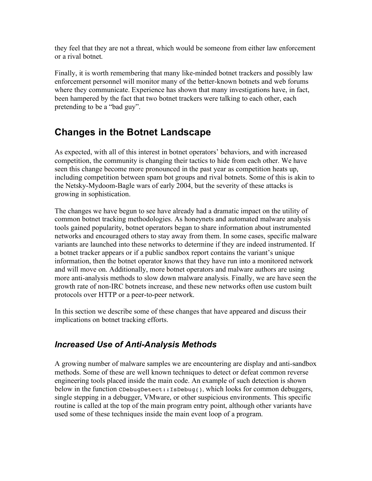they feel that they are not a threat, which would be someone from either law enforcement or a rival botnet.

Finally, it is worth remembering that many like-minded botnet trackers and possibly law enforcement personnel will monitor many of the better-known botnets and web forums where they communicate. Experience has shown that many investigations have, in fact, been hampered by the fact that two botnet trackers were talking to each other, each pretending to be a "bad guy".

### **Changes in the Botnet Landscape**

As expected, with all of this interest in botnet operators' behaviors, and with increased competition, the community is changing their tactics to hide from each other. We have seen this change become more pronounced in the past year as competition heats up, including competition between spam bot groups and rival botnets. Some of this is akin to the Netsky-Mydoom-Bagle wars of early 2004, but the severity of these attacks is growing in sophistication.

The changes we have begun to see have already had a dramatic impact on the utility of common botnet tracking methodologies. As honeynets and automated malware analysis tools gained popularity, botnet operators began to share information about instrumented networks and encouraged others to stay away from them. In some cases, specific malware variants are launched into these networks to determine if they are indeed instrumented. If a botnet tracker appears or if a public sandbox report contains the variant's unique information, then the botnet operator knows that they have run into a monitored network and will move on. Additionally, more botnet operators and malware authors are using more anti-analysis methods to slow down malware analysis. Finally, we are have seen the growth rate of non-IRC botnets increase, and these new networks often use custom built protocols over HTTP or a peer-to-peer network.

In this section we describe some of these changes that have appeared and discuss their implications on botnet tracking efforts.

#### *Increased Use of Anti-Analysis Methods*

A growing number of malware samples we are encountering are display and anti-sandbox methods. Some of these are well known techniques to detect or defeat common reverse engineering tools placed inside the main code. An example of such detection is shown below in the function CDebugDetect::IsDebug(), which looks for common debuggers, single stepping in a debugger, VMware, or other suspicious environments. This specific routine is called at the top of the main program entry point, although other variants have used some of these techniques inside the main event loop of a program.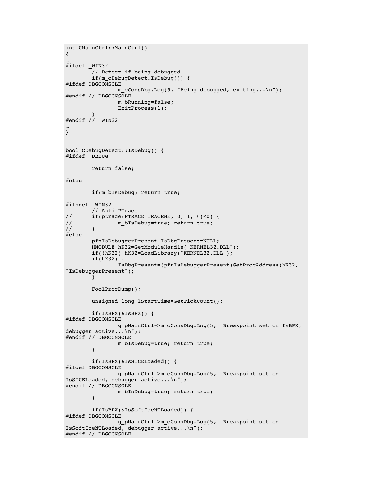```
int CMainCtrl::MainCtrl()
{
…
#ifdef _WIN32
        // Detect if being debugged
        if(m cDebugDetect.IsDebug()) {
#ifdef DBGCONSOLE
                m cConsDbg.Log(5, "Being debugged, exiting...\n\timesn");
#endif // DBGCONSOLE
                m bRunning=false;
                ExitProcess(1);
        }
#endif // _WIN32
…
}
bool CDebugDetect::IsDebug() {
#ifdef DEBUG
        return false;
#else
        if(m_bIsDebug) return true;
#ifndef _WIN32
       // Anti-PTrace
// if(ptrace(PTRACE_TRACEME, 0, 1, 0)<0) {
// m bIsDebug=true; return true;
\frac{1}{2} }
#else
        pfnIsDebuggerPresent IsDbgPresent=NULL;
        HMODULE hK32=GetModuleHandle("KERNEL32.DLL");
        if(!hK32) hK32=LoadLibrary("KERNEL32.DLL");
        if(hK32) {
                IsDbgPresent=(pfnIsDebuggerPresent)GetProcAddress(hK32,
"IsDebuggerPresent");
       }
       FoolProcDump();
        unsigned long lStartTime=GetTickCount();
        if(IsBPX(&IsBPX)) {
#ifdef DBGCONSOLE
                g_pMainCtrl->m_cConsDbg.Log(5, "Breakpoint set on IsBPX,
debugger active...\n");
#endif // DBGCONSOLE
                m bIsDebug=true; return true;
        }
        if(IsBPX(&IsSICELoaded)) {
#ifdef DBGCONSOLE
                g_pMainCtrl->m_cConsDbg.Log(5, "Breakpoint set on
IsSICELoaded, debugger active...\n");
#endif // DBGCONSOLE
                m_bIsDebug=true; return true;
        }
        if(IsBPX(&IsSoftIceNTLoaded)) {
#ifdef DBGCONSOLE
                g_pMainCtrl->m_cConsDbg.Log(5, "Breakpoint set on
IsSoftIceNTLoaded, debugger active...\n");
#endif // DBGCONSOLE
```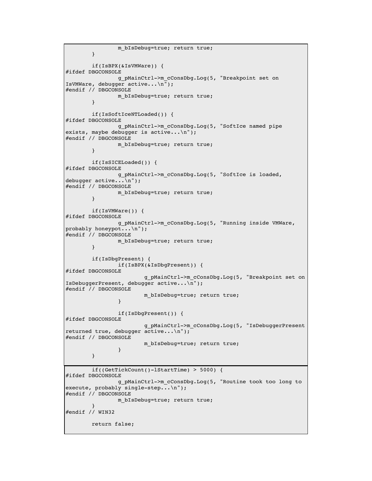```
m bIsDebug=true; return true;
        }
        if(IsBPX(&IsVMWare)) {
#ifdef DBGCONSOLE
                g_pMainCtrl->m_cConsDbg.Log(5, "Breakpoint set on
IsVMWare, debugger active...\n");
#endif // DBGCONSOLE
                m bIsDebug=true; return true;
        }
        if(IsSoftIceNTLoaded()) {
#ifdef DBGCONSOLE
                g_pMainCtrl->m_cConsDbg.Log(5, "SoftIce named pipe
exists, maybe debugger is active...\ln");
#endif // DBGCONSOLE
                m bIsDebug=true; return true;
        }
        if(IsSICELoaded()) {
#ifdef DBGCONSOLE
                g_pMainCtrl->m_cConsDbg.Log(5, "SoftIce is loaded,
debugger active...\n");
#endif // DBGCONSOLE
                m_bIsDebug=true; return true;
        }
        if(IsVMWare()) {
#ifdef DBGCONSOLE
                g_pMainCtrl->m_cConsDbg.Log(5, "Running inside VMWare,
probably honeypot...\n");
#endif // DBGCONSOLE
                m_bIsDebug=true; return true;
        }
        if(IsDbgPresent) {
                if(IsBPX(&IsDbgPresent)) {
#ifdef DBGCONSOLE
                        g_pMainCtrl->m_cConsDbg.Log(5, "Breakpoint set on
IsDebuggerPresent, debugger active...\n");
#endif // DBGCONSOLE
                        m bIsDebug=true; return true;
                }
                if(IsDbgPresent()) {
#ifdef DBGCONSOLE
                        g_pMainCtrl->m_cConsDbg.Log(5, "IsDebuggerPresent
returned true, debugger active...\n");
#endif // DBGCONSOLE
                        m bIsDebug=true; return true;
                }
        }
        if((GetTickCount()-lStartTime) > 5000) {
#ifdef DBGCONSOLE
                g_pMainCtrl->m_cConsDbg.Log(5, "Routine took too long to
execute, probably single-step...\n");
#endif // DBGCONSOLE
                m_bIsDebug=true; return true;
        }
#endif // WIN32
        return false;
```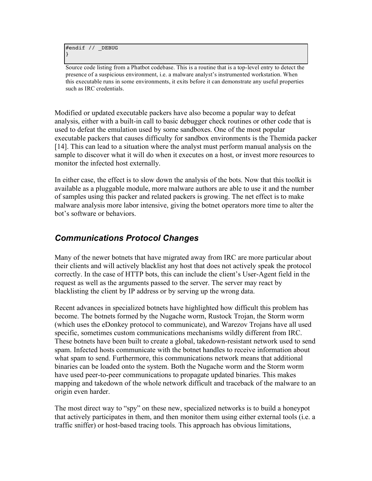```
#endif // _DEBUG
}
```
Source code listing from a Phatbot codebase. This is a routine that is a top-level entry to detect the presence of a suspicious environment, i.e. a malware analyst's instrumented workstation. When this executable runs in some environments, it exits before it can demonstrate any useful properties such as IRC credentials.

Modified or updated executable packers have also become a popular way to defeat analysis, either with a built-in call to basic debugger check routines or other code that is used to defeat the emulation used by some sandboxes. One of the most popular executable packers that causes difficulty for sandbox environments is the Themida packer [14]. This can lead to a situation where the analyst must perform manual analysis on the sample to discover what it will do when it executes on a host, or invest more resources to monitor the infected host externally.

In either case, the effect is to slow down the analysis of the bots. Now that this toolkit is available as a pluggable module, more malware authors are able to use it and the number of samples using this packer and related packers is growing. The net effect is to make malware analysis more labor intensive, giving the botnet operators more time to alter the bot's software or behaviors.

### *Communications Protocol Changes*

Many of the newer botnets that have migrated away from IRC are more particular about their clients and will actively blacklist any host that does not actively speak the protocol correctly. In the case of HTTP bots, this can include the client's User-Agent field in the request as well as the arguments passed to the server. The server may react by blacklisting the client by IP address or by serving up the wrong data.

Recent advances in specialized botnets have highlighted how difficult this problem has become. The botnets formed by the Nugache worm, Rustock Trojan, the Storm worm (which uses the eDonkey protocol to communicate), and Warezov Trojans have all used specific, sometimes custom communications mechanisms wildly different from IRC. These botnets have been built to create a global, takedown-resistant network used to send spam. Infected hosts communicate with the botnet handles to receive information about what spam to send. Furthermore, this communications network means that additional binaries can be loaded onto the system. Both the Nugache worm and the Storm worm have used peer-to-peer communications to propagate updated binaries. This makes mapping and takedown of the whole network difficult and traceback of the malware to an origin even harder.

The most direct way to "spy" on these new, specialized networks is to build a honeypot that actively participates in them, and then monitor them using either external tools (i.e. a traffic sniffer) or host-based tracing tools. This approach has obvious limitations,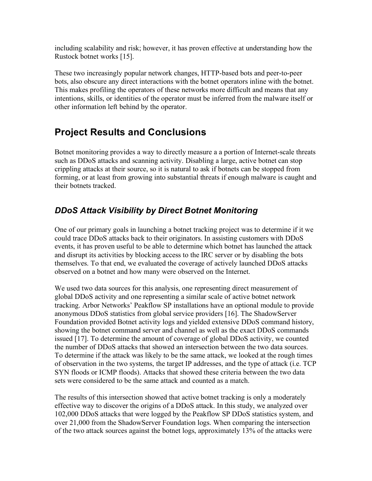including scalability and risk; however, it has proven effective at understanding how the Rustock botnet works [15].

These two increasingly popular network changes, HTTP-based bots and peer-to-peer bots, also obscure any direct interactions with the botnet operators inline with the botnet. This makes profiling the operators of these networks more difficult and means that any intentions, skills, or identities of the operator must be inferred from the malware itself or other information left behind by the operator.

## **Project Results and Conclusions**

Botnet monitoring provides a way to directly measure a a portion of Internet-scale threats such as DDoS attacks and scanning activity. Disabling a large, active botnet can stop crippling attacks at their source, so it is natural to ask if botnets can be stopped from forming, or at least from growing into substantial threats if enough malware is caught and their botnets tracked.

### *DDoS Attack Visibility by Direct Botnet Monitoring*

One of our primary goals in launching a botnet tracking project was to determine if it we could trace DDoS attacks back to their originators. In assisting customers with DDoS events, it has proven useful to be able to determine which botnet has launched the attack and disrupt its activities by blocking access to the IRC server or by disabling the bots themselves. To that end, we evaluated the coverage of actively launched DDoS attacks observed on a botnet and how many were observed on the Internet.

We used two data sources for this analysis, one representing direct measurement of global DDoS activity and one representing a similar scale of active botnet network tracking. Arbor Networks' Peakflow SP installations have an optional module to provide anonymous DDoS statistics from global service providers [16]. The ShadowServer Foundation provided Botnet activity logs and yielded extensive DDoS command history, showing the botnet command server and channel as well as the exact DDoS commands issued [17]. To determine the amount of coverage of global DDoS activity, we counted the number of DDoS attacks that showed an intersection between the two data sources. To determine if the attack was likely to be the same attack, we looked at the rough times of observation in the two systems, the target IP addresses, and the type of attack (i.e. TCP SYN floods or ICMP floods). Attacks that showed these criteria between the two data sets were considered to be the same attack and counted as a match.

The results of this intersection showed that active botnet tracking is only a moderately effective way to discover the origins of a DDoS attack. In this study, we analyzed over 102,000 DDoS attacks that were logged by the Peakflow SP DDoS statistics system, and over 21,000 from the ShadowServer Foundation logs. When comparing the intersection of the two attack sources against the botnet logs, approximately 13% of the attacks were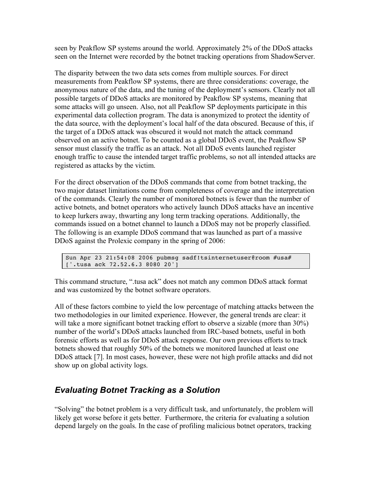seen by Peakflow SP systems around the world. Approximately 2% of the DDoS attacks seen on the Internet were recorded by the botnet tracking operations from ShadowServer.

The disparity between the two data sets comes from multiple sources. For direct measurements from Peakflow SP systems, there are three considerations: coverage, the anonymous nature of the data, and the tuning of the deployment's sensors. Clearly not all possible targets of DDoS attacks are monitored by Peakflow SP systems, meaning that some attacks will go unseen. Also, not all Peakflow SP deployments participate in this experimental data collection program. The data is anonymized to protect the identity of the data source, with the deployment's local half of the data obscured. Because of this, if the target of a DDoS attack was obscured it would not match the attack command observed on an active botnet. To be counted as a global DDoS event, the Peakflow SP sensor must classify the traffic as an attack. Not all DDoS events launched register enough traffic to cause the intended target traffic problems, so not all intended attacks are registered as attacks by the victim.

For the direct observation of the DDoS commands that come from botnet tracking, the two major dataset limitations come from completeness of coverage and the interpretation of the commands. Clearly the number of monitored botnets is fewer than the number of active botnets, and botnet operators who actively launch DDoS attacks have an incentive to keep lurkers away, thwarting any long term tracking operations. Additionally, the commands issued on a botnet channel to launch a DDoS may not be properly classified. The following is an example DDoS command that was launched as part of a massive DDoS against the Prolexic company in the spring of 2006:

Sun Apr 23 21:54:08 2006 pubmsg sadf!tsinternetuser@room #usa# ['.tusa ack 72.52.6.3 8080 20']

This command structure, ".tusa ack" does not match any common DDoS attack format and was customized by the botnet software operators.

All of these factors combine to yield the low percentage of matching attacks between the two methodologies in our limited experience. However, the general trends are clear: it will take a more significant botnet tracking effort to observe a sizable (more than 30%) number of the world's DDoS attacks launched from IRC-based botnets, useful in both forensic efforts as well as for DDoS attack response. Our own previous efforts to track botnets showed that roughly 50% of the botnets we monitored launched at least one DDoS attack [7]. In most cases, however, these were not high profile attacks and did not show up on global activity logs.

### *Evaluating Botnet Tracking as a Solution*

"Solving" the botnet problem is a very difficult task, and unfortunately, the problem will likely get worse before it gets better. Furthermore, the criteria for evaluating a solution depend largely on the goals. In the case of profiling malicious botnet operators, tracking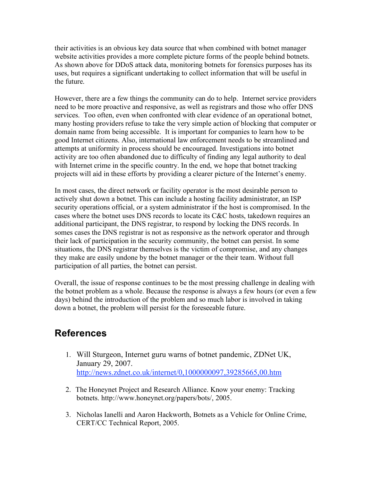their activities is an obvious key data source that when combined with botnet manager website activities provides a more complete picture forms of the people behind botnets. As shown above for DDoS attack data, monitoring botnets for forensics purposes has its uses, but requires a significant undertaking to collect information that will be useful in the future.

However, there are a few things the community can do to help. Internet service providers need to be more proactive and responsive, as well as registrars and those who offer DNS services. Too often, even when confronted with clear evidence of an operational botnet, many hosting providers refuse to take the very simple action of blocking that computer or domain name from being accessible. It is important for companies to learn how to be good Internet citizens. Also, international law enforcement needs to be streamlined and attempts at uniformity in process should be encouraged. Investigations into botnet activity are too often abandoned due to difficulty of finding any legal authority to deal with Internet crime in the specific country. In the end, we hope that botnet tracking projects will aid in these efforts by providing a clearer picture of the Internet's enemy.

In most cases, the direct network or facility operator is the most desirable person to actively shut down a botnet. This can include a hosting facility administrator, an ISP security operations official, or a system administrator if the host is compromised. In the cases where the botnet uses DNS records to locate its C&C hosts, takedown requires an additional participant, the DNS registrar, to respond by locking the DNS records. In somes cases the DNS registrar is not as responsive as the network operator and through their lack of participation in the security community, the botnet can persist. In some situations, the DNS registrar themselves is the victim of compromise, and any changes they make are easily undone by the botnet manager or the their team. Without full participation of all parties, the botnet can persist.

Overall, the issue of response continues to be the most pressing challenge in dealing with the botnet problem as a whole. Because the response is always a few hours (or even a few days) behind the introduction of the problem and so much labor is involved in taking down a botnet, the problem will persist for the foreseeable future.

### **References**

- 1. Will Sturgeon, Internet guru warns of botnet pandemic, ZDNet UK, January 29, 2007. http://news.zdnet.co.uk/internet/0,1000000097,39285665,00.htm
- 2. The Honeynet Project and Research Alliance. Know your enemy: Tracking botnets. http://www.honeynet.org/papers/bots/, 2005.
- 3. Nicholas Ianelli and Aaron Hackworth, Botnets as a Vehicle for Online Crime, CERT/CC Technical Report, 2005.